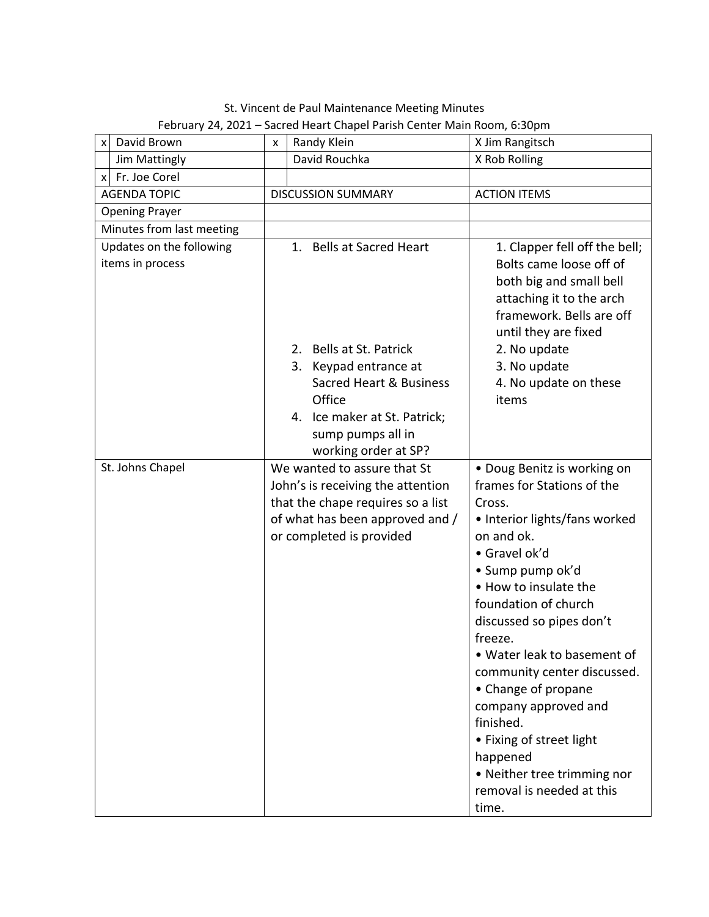David Brown  $x \mid x \mid$  Randy Klein  $x \mid x \mid$  X Jim Rangitsch Jim Mattingly **David Rouchka** X Rob Rolling x Fr. Joe Corel AGENDA TOPIC | DISCUSSION SUMMARY | ACTION ITEMS Opening Prayer Minutes from last meeting Updates on the following items in process 1. Bells at Sacred Heart 2. Bells at St. Patrick 3. Keypad entrance at Sacred Heart & Business **Office** 4. Ice maker at St. Patrick; sump pumps all in working order at SP? 1. Clapper fell off the bell; Bolts came loose off of both big and small bell attaching it to the arch framework. Bells are off until they are fixed 2. No update 3. No update 4. No update on these items St. Johns Chapel We wanted to assure that St John's is receiving the attention that the chape requires so a list of what has been approved and / or completed is provided • Doug Benitz is working on frames for Stations of the Cross. • Interior lights/fans worked on and ok. • Gravel ok'd • Sump pump ok'd • How to insulate the foundation of church discussed so pipes don't freeze. • Water leak to basement of community center discussed. • Change of propane company approved and finished. • Fixing of street light happened • Neither tree trimming nor removal is needed at this time.

| St. Vincent de Paul Maintenance Meeting Minutes                         |  |
|-------------------------------------------------------------------------|--|
| February 24, 2021 – Sacred Heart Chapel Parish Center Main Room, 6:30pm |  |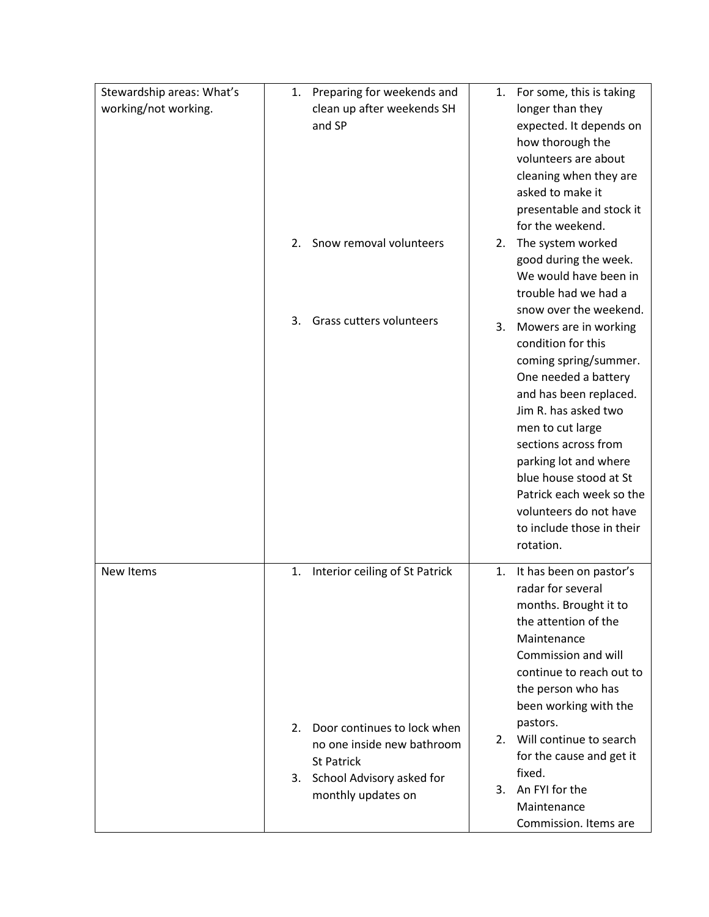| Stewardship areas: What's | Preparing for weekends and<br>1.     | 1. | For some, this is taking  |
|---------------------------|--------------------------------------|----|---------------------------|
| working/not working.      | clean up after weekends SH           |    | longer than they          |
|                           | and SP                               |    | expected. It depends on   |
|                           |                                      |    | how thorough the          |
|                           |                                      |    | volunteers are about      |
|                           |                                      |    | cleaning when they are    |
|                           |                                      |    | asked to make it          |
|                           |                                      |    | presentable and stock it  |
|                           |                                      |    | for the weekend.          |
|                           | Snow removal volunteers<br>2.        | 2. | The system worked         |
|                           |                                      |    | good during the week.     |
|                           |                                      |    | We would have been in     |
|                           |                                      |    | trouble had we had a      |
|                           |                                      |    | snow over the weekend.    |
|                           | Grass cutters volunteers<br>3.       | 3. | Mowers are in working     |
|                           |                                      |    | condition for this        |
|                           |                                      |    | coming spring/summer.     |
|                           |                                      |    | One needed a battery      |
|                           |                                      |    | and has been replaced.    |
|                           |                                      |    | Jim R. has asked two      |
|                           |                                      |    | men to cut large          |
|                           |                                      |    | sections across from      |
|                           |                                      |    | parking lot and where     |
|                           |                                      |    | blue house stood at St    |
|                           |                                      |    | Patrick each week so the  |
|                           |                                      |    | volunteers do not have    |
|                           |                                      |    | to include those in their |
|                           |                                      |    | rotation.                 |
| New Items                 | Interior ceiling of St Patrick<br>1. | 1. | It has been on pastor's   |
|                           |                                      |    | radar for several         |
|                           |                                      |    | months. Brought it to     |
|                           |                                      |    | the attention of the      |
|                           |                                      |    | Maintenance               |
|                           |                                      |    | Commission and will       |
|                           |                                      |    | continue to reach out to  |
|                           |                                      |    | the person who has        |
|                           |                                      |    | been working with the     |
|                           | Door continues to lock when<br>2.    |    | pastors.                  |
|                           | no one inside new bathroom           | 2. | Will continue to search   |
|                           | St Patrick                           |    | for the cause and get it  |
|                           | 3. School Advisory asked for         |    | fixed.                    |
|                           | monthly updates on                   | 3. | An FYI for the            |
|                           |                                      |    | Maintenance               |
|                           |                                      |    | Commission. Items are     |